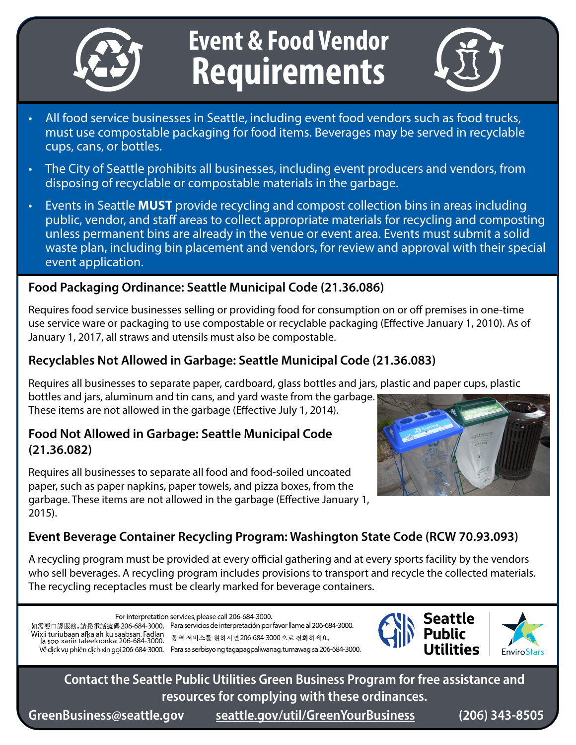

# **Event & Food Vendor Requirements**



- All food service businesses in Seattle, including event food vendors such as food trucks, must use compostable packaging for food items. Beverages may be served in recyclable cups, cans, or bottles.
- The City of Seattle prohibits all businesses, including event producers and vendors, from disposing of recyclable or compostable materials in the garbage.
- Events in Seattle **MUST** provide recycling and compost collection bins in areas including public, vendor, and staff areas to collect appropriate materials for recycling and composting unless permanent bins are already in the venue or event area. Events must submit a solid waste plan, including bin placement and vendors, for review and approval with their special event application.

#### **Food Packaging Ordinance: Seattle Municipal Code (21.36.086)**

Requires food service businesses selling or providing food for consumption on or off premises in one-time use service ware or packaging to use compostable or recyclable packaging (Effective January 1, 2010). As of January 1, 2017, all straws and utensils must also be compostable.

## **Recyclables Not Allowed in Garbage: Seattle Municipal Code (21.36.083)**

Requires all businesses to separate paper, cardboard, glass bottles and jars, plastic and paper cups, plastic

bottles and jars, aluminum and tin cans, and yard waste from the garbage. These items are not allowed in the garbage (Effective July 1, 2014).

## **Food Not Allowed in Garbage: Seattle Municipal Code (21.36.082)**

Requires all businesses to separate all food and food-soiled uncoated paper, such as paper napkins, paper towels, and pizza boxes, from the garbage. These items are not allowed in the garbage (Effective January 1, 2015).



## **Event Beverage Container Recycling Program: Washington State Code (RCW 70.93.093)**

A recycling program must be provided at every official gathering and at every sports facility by the vendors who sell beverages. A recycling program includes provisions to transport and recycle the collected materials. The recycling receptacles must be clearly marked for beverage containers.

For interpretation services, please call 206-684-3000.

Wixii turiubaan afka ah ku saabsan, Fadlan<br>| la soo xariir taleefoonka: 206-684-3000. 통역 서비스를 원하시면 206-684-3000으로 전화하세요.

如需要口譯服務,請撥電話號碼 206-684-3000. Para servicios de interpretación por favor llame al 206-684-3000.

Về dick vu phiên dich xin goi 206-684-3000. Para sa serbisyo ng tagapagpaliwanag, tumawag sa 206-684-3000.



**Contact the Seattle Public Utilities Green Business Program for free assistance and resources for complying with these ordinances.** 

**GreenBusiness@seattle.gov [seattle.gov/util/GreenYourBusiness](http://www.seattle.gov/util/GreenYourBusiness) (206) 343-8505**